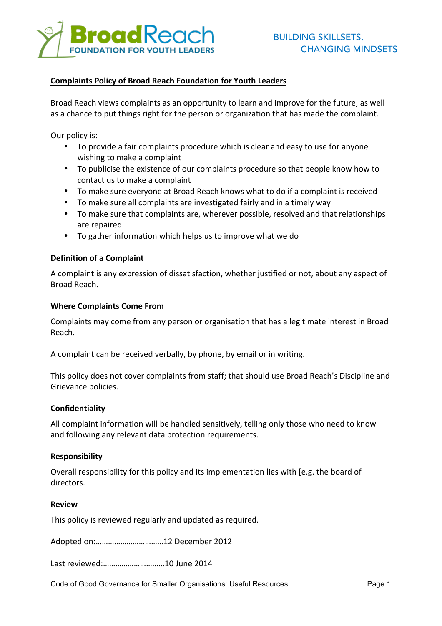

# **Complaints Policy of Broad Reach Foundation for Youth Leaders**

Broad Reach views complaints as an opportunity to learn and improve for the future, as well as a chance to put things right for the person or organization that has made the complaint.

Our policy is:

- To provide a fair complaints procedure which is clear and easy to use for anyone wishing to make a complaint
- To publicise the existence of our complaints procedure so that people know how to contact us to make a complaint
- To make sure everyone at Broad Reach knows what to do if a complaint is received
- To make sure all complaints are investigated fairly and in a timely way
- To make sure that complaints are, wherever possible, resolved and that relationships are repaired
- To gather information which helps us to improve what we do

### **Definition of a Complaint**

A complaint is any expression of dissatisfaction, whether justified or not, about any aspect of Broad Reach.

### **Where Complaints Come From**

Complaints may come from any person or organisation that has a legitimate interest in Broad Reach.

A complaint can be received verbally, by phone, by email or in writing.

This policy does not cover complaints from staff; that should use Broad Reach's Discipline and Grievance policies.

### **Confidentiality**

All complaint information will be handled sensitively, telling only those who need to know and following any relevant data protection requirements.

### **Responsibility**

Overall responsibility for this policy and its implementation lies with [e.g. the board of directors.

### **Review**

This policy is reviewed regularly and updated as required.

Adopted on:.................................12 December 2012

Last reviewed:…………………………10 June 2014

Code of Good Governance for Smaller Organisations: Useful Resources Page 1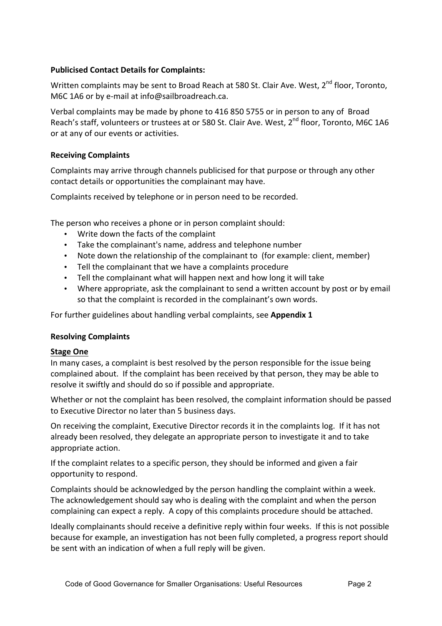# **Publicised Contact Details for Complaints:**

Written complaints may be sent to Broad Reach at 580 St. Clair Ave. West.  $2^{nd}$  floor. Toronto. M6C 1A6 or by e-mail at info@sailbroadreach.ca.

Verbal complaints may be made by phone to 416 850 5755 or in person to any of Broad Reach's staff, volunteers or trustees at or 580 St. Clair Ave. West, 2<sup>nd</sup> floor, Toronto, M6C 1A6 or at any of our events or activities.

# **Receiving Complaints**

Complaints may arrive through channels publicised for that purpose or through any other contact details or opportunities the complainant may have.

Complaints received by telephone or in person need to be recorded.

The person who receives a phone or in person complaint should:

- Write down the facts of the complaint
- Take the complainant's name, address and telephone number
- Note down the relationship of the complainant to (for example: client, member)
- Tell the complainant that we have a complaints procedure
- Tell the complainant what will happen next and how long it will take
- Where appropriate, ask the complainant to send a written account by post or by email so that the complaint is recorded in the complainant's own words.

For further guidelines about handling verbal complaints, see **Appendix 1** 

## **Resolving Complaints**

## **Stage One**

In many cases, a complaint is best resolved by the person responsible for the issue being complained about. If the complaint has been received by that person, they may be able to resolve it swiftly and should do so if possible and appropriate.

Whether or not the complaint has been resolved, the complaint information should be passed to Executive Director no later than 5 business days.

On receiving the complaint, Executive Director records it in the complaints log. If it has not already been resolved, they delegate an appropriate person to investigate it and to take appropriate action.

If the complaint relates to a specific person, they should be informed and given a fair opportunity to respond.

Complaints should be acknowledged by the person handling the complaint within a week. The acknowledgement should say who is dealing with the complaint and when the person complaining can expect a reply. A copy of this complaints procedure should be attached.

Ideally complainants should receive a definitive reply within four weeks. If this is not possible because for example, an investigation has not been fully completed, a progress report should be sent with an indication of when a full reply will be given.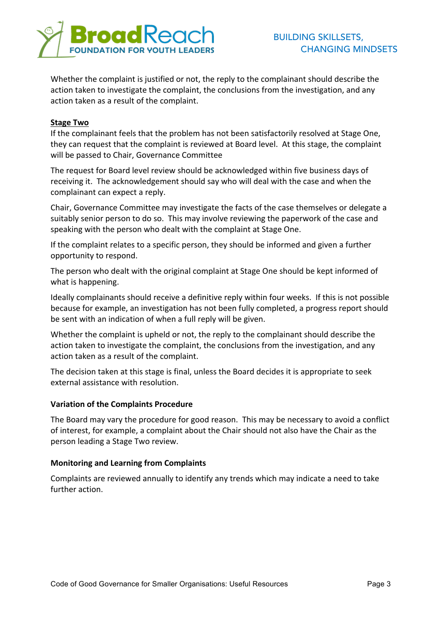

Whether the complaint is justified or not, the reply to the complainant should describe the action taken to investigate the complaint, the conclusions from the investigation, and any action taken as a result of the complaint.

## **Stage Two**

If the complainant feels that the problem has not been satisfactorily resolved at Stage One, they can request that the complaint is reviewed at Board level. At this stage, the complaint will be passed to Chair, Governance Committee

The request for Board level review should be acknowledged within five business days of receiving it. The acknowledgement should say who will deal with the case and when the complainant can expect a reply.

Chair, Governance Committee may investigate the facts of the case themselves or delegate a suitably senior person to do so. This may involve reviewing the paperwork of the case and speaking with the person who dealt with the complaint at Stage One.

If the complaint relates to a specific person, they should be informed and given a further opportunity to respond.

The person who dealt with the original complaint at Stage One should be kept informed of what is happening.

Ideally complainants should receive a definitive reply within four weeks. If this is not possible because for example, an investigation has not been fully completed, a progress report should be sent with an indication of when a full reply will be given.

Whether the complaint is upheld or not, the reply to the complainant should describe the action taken to investigate the complaint, the conclusions from the investigation, and any action taken as a result of the complaint.

The decision taken at this stage is final, unless the Board decides it is appropriate to seek external assistance with resolution

### **Variation of the Complaints Procedure**

The Board may vary the procedure for good reason. This may be necessary to avoid a conflict of interest, for example, a complaint about the Chair should not also have the Chair as the person leading a Stage Two review.

### **Monitoring and Learning from Complaints**

Complaints are reviewed annually to identify any trends which may indicate a need to take further action.